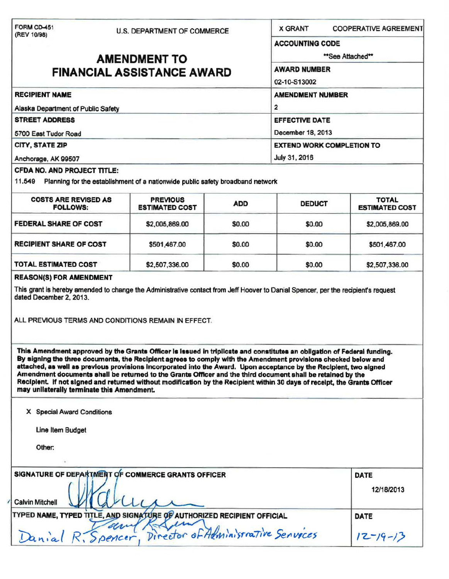| FORM CD-451<br>(REV 10/98)                                                                                                                                                                                                                                                                                                                                                                                   | U.S. DEPARTMENT OF COMMERCE |                | <b>X GRANT</b><br><b>COOPERATIVE AGREEMENT</b>                                                                 |                           |                                    |                                                                                |            |               |              |
|--------------------------------------------------------------------------------------------------------------------------------------------------------------------------------------------------------------------------------------------------------------------------------------------------------------------------------------------------------------------------------------------------------------|-----------------------------|----------------|----------------------------------------------------------------------------------------------------------------|---------------------------|------------------------------------|--------------------------------------------------------------------------------|------------|---------------|--------------|
|                                                                                                                                                                                                                                                                                                                                                                                                              |                             |                | <b>ACCOUNTING CODE</b>                                                                                         |                           |                                    |                                                                                |            |               |              |
|                                                                                                                                                                                                                                                                                                                                                                                                              | <b>AMENDMENT TO</b>         | "See Attached" |                                                                                                                |                           |                                    |                                                                                |            |               |              |
| <b>FINANCIAL ASSISTANCE AWARD</b><br><b>RECIPIENT NAME</b><br>Alaska Department of Public Safety<br><b>STREET ADDRESS</b><br>5700 East Tudor Road<br>CITY, STATE ZIP                                                                                                                                                                                                                                         |                             |                | <b>AWARD NUMBER</b>                                                                                            |                           |                                    |                                                                                |            |               |              |
|                                                                                                                                                                                                                                                                                                                                                                                                              |                             |                | 02-10-S13002                                                                                                   |                           |                                    |                                                                                |            |               |              |
|                                                                                                                                                                                                                                                                                                                                                                                                              |                             |                | <b>AMENDMENT NUMBER</b><br>2<br><b>EFFECTIVE DATE</b><br>December 18, 2013<br><b>EXTEND WORK COMPLETION TO</b> |                           |                                    |                                                                                |            |               |              |
|                                                                                                                                                                                                                                                                                                                                                                                                              |                             |                |                                                                                                                |                           | Anchorage, AK 99507                |                                                                                |            | July 31, 2016 |              |
|                                                                                                                                                                                                                                                                                                                                                                                                              |                             |                |                                                                                                                |                           | <b>CFDA NO. AND PROJECT TITLE:</b> |                                                                                |            |               |              |
|                                                                                                                                                                                                                                                                                                                                                                                                              |                             |                |                                                                                                                |                           | 11.549                             | Planning for the establishment of a nationwide public safety broadband network |            |               |              |
|                                                                                                                                                                                                                                                                                                                                                                                                              |                             |                |                                                                                                                |                           | <b>COSTS ARE REVISED AS</b>        | <b>PREVIOUS</b>                                                                | <b>ADD</b> | <b>DEDUCT</b> | <b>TOTAL</b> |
| <b>FOLLOWS:</b>                                                                                                                                                                                                                                                                                                                                                                                              | <b>ESTIMATED COST</b>       |                |                                                                                                                | <b>ESTIMATED COST</b>     |                                    |                                                                                |            |               |              |
| <b>FEDERAL SHARE OF COST</b>                                                                                                                                                                                                                                                                                                                                                                                 | \$2,005,869.00              | \$0.00         | \$0.00                                                                                                         | \$2,005,869.00            |                                    |                                                                                |            |               |              |
| <b>RECIPIENT SHARE OF COST</b>                                                                                                                                                                                                                                                                                                                                                                               | \$501,467.00                | \$0.00         | \$0.00                                                                                                         | \$501,467.00              |                                    |                                                                                |            |               |              |
| <b>TOTAL ESTIMATED COST</b>                                                                                                                                                                                                                                                                                                                                                                                  | \$2,507,336.00              | \$0.00         | \$0.00                                                                                                         | \$2,507,336.00            |                                    |                                                                                |            |               |              |
| ALL PREVIOUS TERMS AND CONDITIONS REMAIN IN EFFECT.<br>This Amendment approved by the Grants Officer is issued in triplicate and constitutes an obligation of Federal funding.<br>By signing the three documents, the Recipient agrees to comply with the Amendment provisions checked below and                                                                                                             |                             |                |                                                                                                                |                           |                                    |                                                                                |            |               |              |
| attached, as well as previous provisions incorporated into the Award. Upon acceptance by the Recipient, two signed<br>Amendment documents shall be returned to the Grants Officer and the third document shall be retained by the<br>Recipient. If not signed and returned without modification by the Recipient within 30 days of receipt, the Grants Officer<br>may unilaterally terminate this Amendment. |                             |                |                                                                                                                |                           |                                    |                                                                                |            |               |              |
| X Special Award Conditions                                                                                                                                                                                                                                                                                                                                                                                   |                             |                |                                                                                                                |                           |                                    |                                                                                |            |               |              |
| <b>Line Item Budget</b>                                                                                                                                                                                                                                                                                                                                                                                      |                             |                |                                                                                                                |                           |                                    |                                                                                |            |               |              |
| Other:                                                                                                                                                                                                                                                                                                                                                                                                       |                             |                |                                                                                                                |                           |                                    |                                                                                |            |               |              |
|                                                                                                                                                                                                                                                                                                                                                                                                              |                             |                |                                                                                                                |                           |                                    |                                                                                |            |               |              |
| SIGNATURE OF DEPARTMENT OF COMMERCE GRANTS OFFICER<br><b>Calvin Mitchell</b>                                                                                                                                                                                                                                                                                                                                 |                             |                |                                                                                                                | <b>DATE</b><br>12/18/2013 |                                    |                                                                                |            |               |              |
|                                                                                                                                                                                                                                                                                                                                                                                                              |                             |                |                                                                                                                | DATE                      |                                    |                                                                                |            |               |              |
| TYPED NAME, TYPED TITLE, AND SIGNATURE OF AUTHORIZED RECIPIENT OFFICIAL<br>Danial R. Spencer, Director of Administrative Services                                                                                                                                                                                                                                                                            |                             |                |                                                                                                                | $12 - 19 - 13$            |                                    |                                                                                |            |               |              |